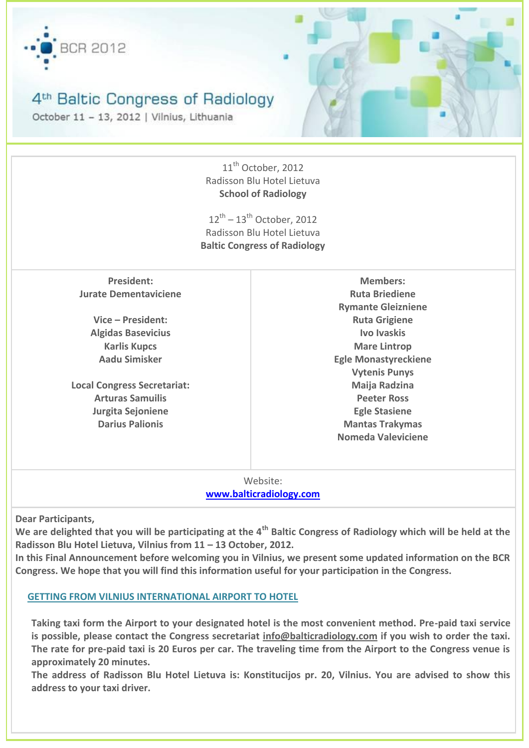

# 4<sup>th</sup> Baltic Congress of Radiology

October 11 - 13, 2012 | Vilnius, Lithuania

| 11 <sup>th</sup> October, 2012     |                                     |  |
|------------------------------------|-------------------------------------|--|
|                                    | Radisson Blu Hotel Lietuva          |  |
| <b>School of Radiology</b>         |                                     |  |
|                                    |                                     |  |
| $12^{th} - 13^{th}$ October, 2012  |                                     |  |
| Radisson Blu Hotel Lietuva         |                                     |  |
|                                    | <b>Baltic Congress of Radiology</b> |  |
|                                    |                                     |  |
| <b>President:</b>                  | <b>Members:</b>                     |  |
| <b>Jurate Dementaviciene</b>       | <b>Ruta Briediene</b>               |  |
|                                    | <b>Rymante Gleizniene</b>           |  |
| Vice - President:                  | <b>Ruta Grigiene</b>                |  |
| <b>Algidas Basevicius</b>          | Ivo Ivaskis                         |  |
| <b>Karlis Kupcs</b>                | <b>Mare Lintrop</b>                 |  |
| <b>Aadu Simisker</b>               | <b>Egle Monastyreckiene</b>         |  |
|                                    | <b>Vytenis Punys</b>                |  |
| <b>Local Congress Secretariat:</b> | Maija Radzina                       |  |
| <b>Arturas Samuilis</b>            | <b>Peeter Ross</b>                  |  |
| Jurgita Sejoniene                  | <b>Egle Stasiene</b>                |  |
| <b>Darius Palionis</b>             | <b>Mantas Trakymas</b>              |  |
|                                    | Nomeda Valeviciene                  |  |
|                                    |                                     |  |
|                                    |                                     |  |
|                                    |                                     |  |

Website: **[www.balticradiology.com](http://www.balticradiology.com/)**

**Dear Participants,**

**We are delighted that you will be participating at the 4th Baltic Congress of Radiology which will be held at the Radisson Blu Hotel Lietuva, Vilnius from 11 – 13 October, 2012.**

**In this Final Announcement before welcoming you in Vilnius, we present some updated information on the BCR Congress. We hope that you will find this information useful for your participation in the Congress.**

# **GETTING FROM VILNIUS INTERNATIONAL AIRPORT TO HOTEL**

**Taking taxi form the Airport to your designated hotel is the most convenient method. Pre-paid taxi service is possible, please contact the Congress secretariat info@balticradiology.com if you wish to order the taxi. The rate for pre-paid taxi is 20 Euros per car. The traveling time from the Airport to the Congress venue is approximately 20 minutes.**

**The address of Radisson Blu Hotel Lietuva is: Konstitucijos pr. 20, Vilnius. You are advised to show this address to your taxi driver.**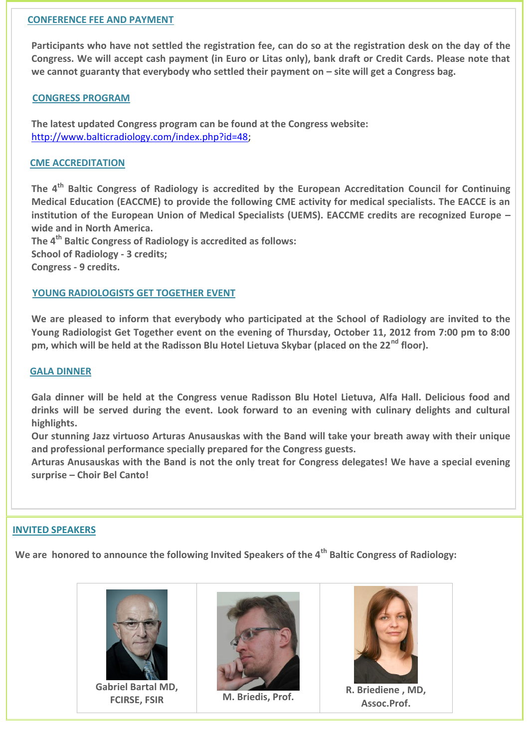## **CONFERENCE FEE AND PAYMENT**

**Participants who have not settled the registration fee, can do so at the registration desk on the day of the Congress. We will accept cash payment (in Euro or Litas only), bank draft or Credit Cards. Please note that**  we cannot guaranty that everybody who settled their payment on – site will get a Congress bag.

## **CONGRESS PROGRAM**

**The latest updated Congress program can be found at the Congress website:** [http://www.balticradiology.com/index.php?id=48;](http://www.balticradiology.com/index.php?id=48)

## **CME ACCREDITATION**

**The 4th Baltic Congress of Radiology is accredited by the European Accreditation Council for Continuing Medical Education (EACCME) to provide the following CME activity for medical specialists. The EACCE is an institution of the European Union of Medical Specialists (UEMS). EACCME credits are recognized Europe – wide and in North America.**

**The 4th Baltic Congress of Radiology is accredited as follows: School of Radiology - 3 credits; Congress - 9 credits.**

#### **YOUNG RADIOLOGISTS GET TOGETHER EVENT**

**We are pleased to inform that everybody who participated at the School of Radiology are invited to the Young Radiologist Get Together event on the evening of Thursday, October 11, 2012 from 7:00 pm to 8:00 pm, which will be held at the Radisson Blu Hotel Lietuva Skybar (placed on the 22nd floor).**

#### **GALA DINNER**

**Gala dinner will be held at the Congress venue Radisson Blu Hotel Lietuva, Alfa Hall. Delicious food and drinks will be served during the event. Look forward to an evening with culinary delights and cultural highlights.** 

**Our stunning Jazz virtuoso Arturas Anusauskas with the Band will take your breath away with their unique and professional performance specially prepared for the Congress guests.** 

**Arturas Anusauskas with the Band is not the only treat for Congress delegates! We have a special evening surprise – Choir Bel Canto!** 

#### **INVITED SPEAKERS**

**We are honored to announce the following Invited Speakers of the 4th Baltic Congress of Radiology:**



**Gabriel Bartal MD,** 





**FRICIS EXECUTE: FRICIS EXECUTE: R. Briediene** , MD,<br> **FCIRSE, FSIR** M. Briedis, Prof. **Assoc.Prof.**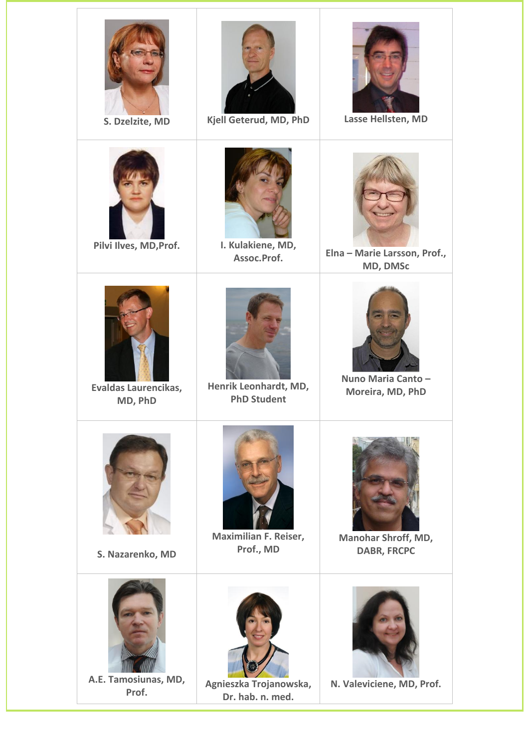| S. Dzelzite, MD                 | Kjell Geterud, MD, PhD                      | Lasse Hellsten, MD                        |
|---------------------------------|---------------------------------------------|-------------------------------------------|
| Pilvi Ilves, MD, Prof.          | I. Kulakiene, MD,<br>Assoc.Prof.            | Elna - Marie Larsson, Prof.,<br>MD, DMSc  |
| Evaldas Laurencikas,<br>MD, PhD | Henrik Leonhardt, MD,<br><b>PhD Student</b> | Nuno Maria Canto-<br>Moreira, MD, PhD     |
| S. Nazarenko, MD                | Maximilian F. Reiser,<br>Prof., MD          | Manohar Shroff, MD,<br><b>DABR, FRCPC</b> |
| A.E. Tamosiunas, MD,<br>Prof.   | Agnieszka Trojanowska,<br>Dr. hab. n. med.  | N. Valeviciene, MD, Prof.                 |

л

т

Τ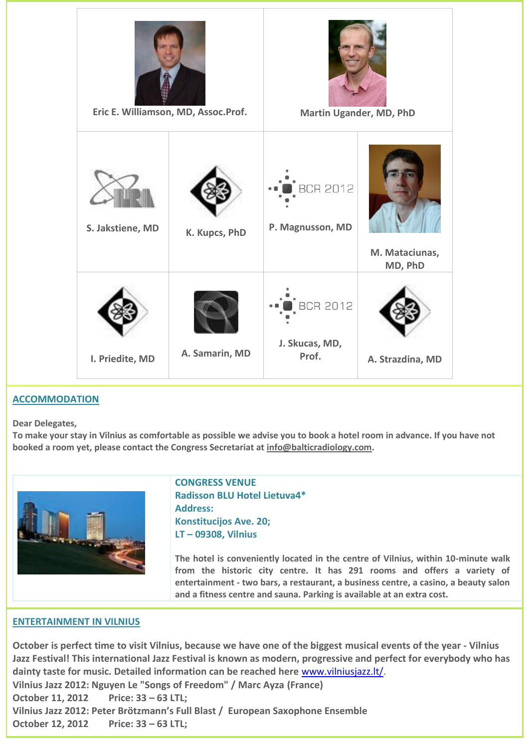

# **ACCOMMODATION**

**Dear Delegates,**

**To make your stay in Vilnius as comfortable as possible we advise you to book a hotel room in advance. If you have not booked a room yet, please contact the Congress Secretariat at info@balticradiology.com.**



**CONGRESS VENUE Radisson BLU Hotel Lietuva4\* Address: Konstitucijos Ave. 20; LT – 09308, Vilnius**

**The hotel is conveniently located in the centre of Vilnius, within 10-minute walk from the historic city centre. It has 291 rooms and offers a variety of entertainment - two bars, a restaurant, a business centre, a casino, a beauty salon and a fitness centre and sauna. Parking is available at an extra cost.**

#### **ENTERTAINMENT IN VILNIUS**

**October is perfect time to visit Vilnius, because we have one of the biggest musical events of the year - Vilnius Jazz Festival! This international Jazz Festival is known as modern, progressive and perfect for everybody who has dainty taste for music. Detailed information can be reached here** [www.vilniusjazz.lt/.](http://www.vilniusjazz.lt/) **Vilnius Jazz 2012: Nguyen Le "Songs of Freedom" / Marc Ayza (France) October 11, 2012 Price: 33 – 63 LTL; Vilnius Jazz 2012: Peter Brötzmann's Full Blast / European Saxophone Ensemble October 12, 2012 Price: 33 – 63 LTL;**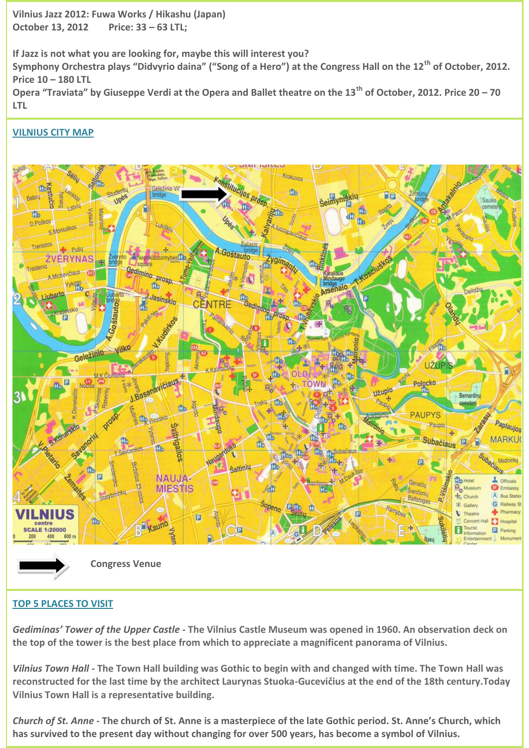**Vilnius Jazz 2012: Fuwa Works / Hikashu (Japan) October 13, 2012 Price: 33 – 63 LTL;**

**If Jazz is not what you are looking for, maybe this will interest you? Symphony Orchestra plays "Didvyrio daina" ("Song of a Hero") at the Congress Hall on the 12th of October, 2012. Price 10 – 180 LTL Opera "Traviata" by Giuseppe Verdi at the Opera and Ballet theatre on the 13th of October, 2012. Price 20 – 70** 

**VILNIUS CITY MAP**

**LTL**



# **TOP 5 PLACES TO VISIT**

*Gediminas' Tower of the Upper Castle* **- The Vilnius Castle Museum was opened in 1960. An observation deck on the top of the tower is the best place from which to appreciate a magnificent panorama of Vilnius.**

*Vilnius Town Hall* **- The Town Hall building was Gothic to begin with and changed with time. The Town Hall was reconstructed for the last time by the architect Laurynas Stuoka-Gucevičius at the end of the 18th century.Today Vilnius Town Hall is a representative building.**

*[Church](http://www.vilnius-tourism.lt/en/tourism/places-to-visit/top-20/church-of-st-anne/) of St. Anne -* **The church of St. Anne is a masterpiece of the late Gothic period. St. Anne's Church, which has survived to the present day without changing for over 500 years, has become a symbol of Vilnius.**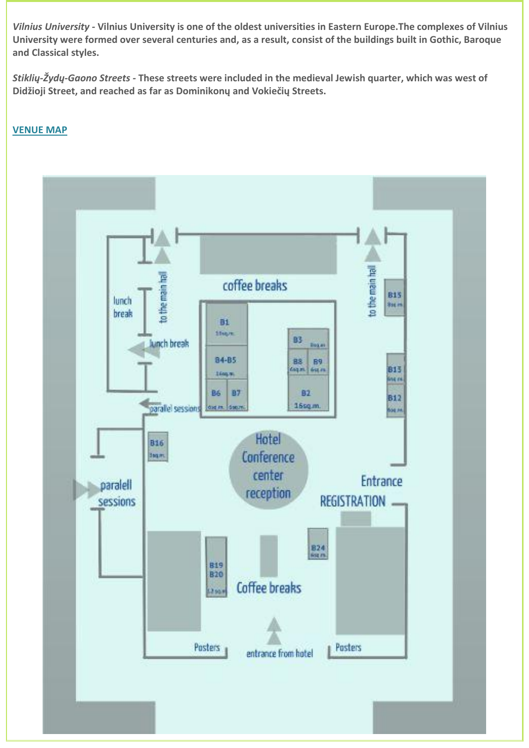*Vilnius [University](http://www.vilnius-tourism.lt/en/tourism/places-to-visit/top-20/vilnius-university/) -* **Vilnius University is one of the oldest universities in Eastern Europe.The complexes of Vilnius University were formed over several centuries and, as a result, consist of the buildings built in Gothic, Baroque and Classical styles.**

*Stiklių-Žydų[-Gaono](http://www.vilnius-tourism.lt/en/tourism/places-to-visit/top-20/stikliu-zydu-gaono-streets/) Streets -* **These streets were included in the medieval Jewish quarter, which was west of Didžioji Street, and reached as far as Dominikonų and Vokiečių Streets.**

# **VENUE MAP**